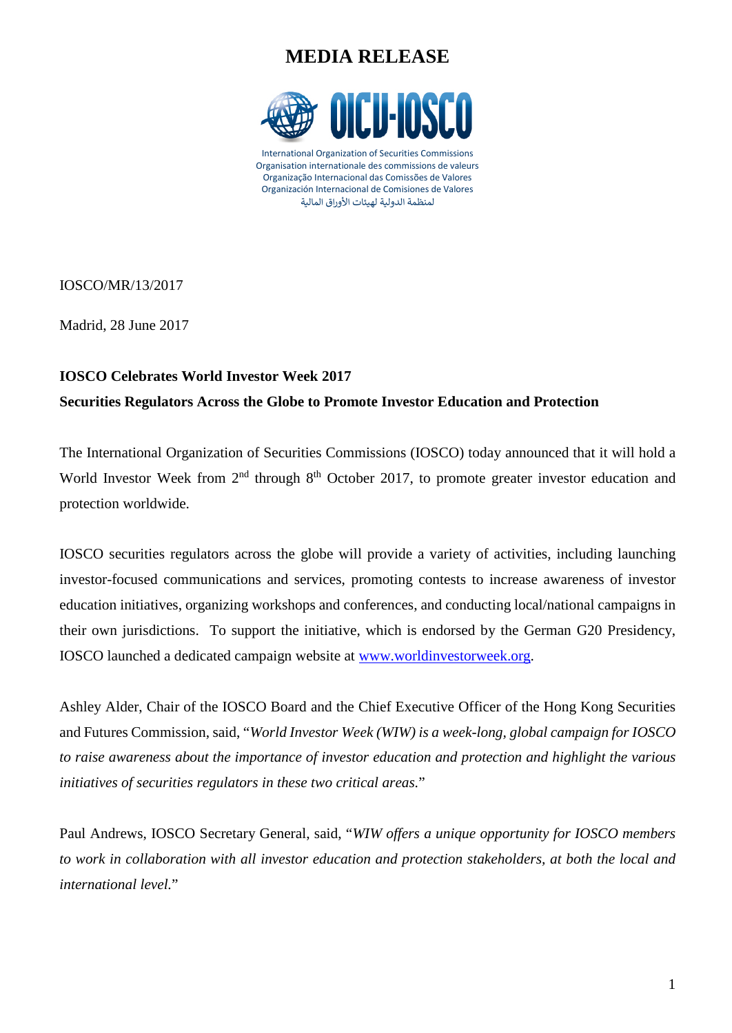## **MEDIA RELEASE**



International Organization of Securities Commissions Organisation internationale des commissions de valeurs Organização Internacional das Comissões de Valores Organización Internacional de Comisiones de Valores لمنظمة الدولية لهيئات الأوراق المالية

IOSCO/MR/13/2017

Madrid, 28 June 2017

### **IOSCO Celebrates World Investor Week 2017**

#### **Securities Regulators Across the Globe to Promote Investor Education and Protection**

The International Organization of Securities Commissions (IOSCO) today announced that it will hold a World Investor Week from 2<sup>nd</sup> through 8<sup>th</sup> October 2017, to promote greater investor education and protection worldwide.

IOSCO securities regulators across the globe will provide a variety of activities, including launching investor-focused communications and services, promoting contests to increase awareness of investor education initiatives, organizing workshops and conferences, and conducting local/national campaigns in their own jurisdictions. To support the initiative, which is endorsed by the German G20 Presidency, IOSCO launched a dedicated campaign website at [www.worldinvestorweek.org.](http://www.worldinvestorweek.org/)

Ashley Alder, Chair of the IOSCO Board and the Chief Executive Officer of the Hong Kong Securities and Futures Commission, said, "*World Investor Week (WIW) is a week-long, global campaign for IOSCO to raise awareness about the importance of investor education and protection and highlight the various initiatives of securities regulators in these two critical areas.*"

Paul Andrews, IOSCO Secretary General, said, "*WIW offers a unique opportunity for IOSCO members to work in collaboration with all investor education and protection stakeholders, at both the local and international level.*"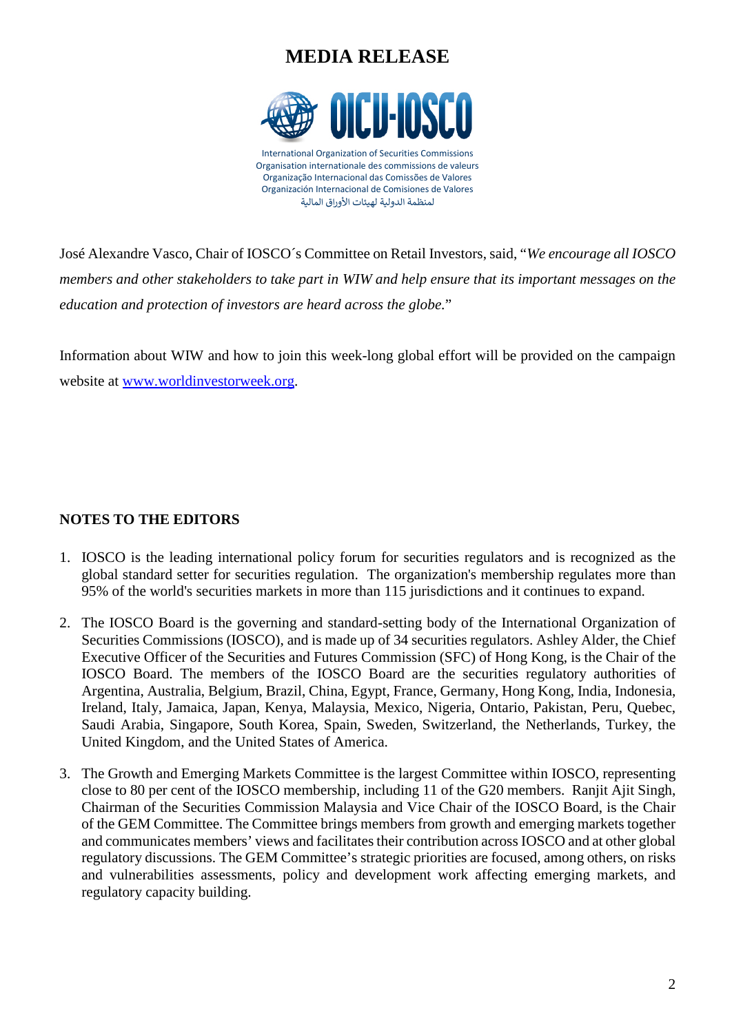# **MEDIA RELEASE**



José Alexandre Vasco, Chair of IOSCO´s Committee on Retail Investors, said, "*We encourage all IOSCO members and other stakeholders to take part in WIW and help ensure that its important messages on the education and protection of investors are heard across the globe.*"

Information about WIW and how to join this week-long global effort will be provided on the campaign website at [www.worldinvestorweek.org.](http://www.worldinvestorweek.org/)

### **NOTES TO THE EDITORS**

- 1. IOSCO is the leading international policy forum for securities regulators and is recognized as the global standard setter for securities regulation. The organization's membership regulates more than 95% of the world's securities markets in more than 115 jurisdictions and it continues to expand.
- 2. The IOSCO Board is the governing and standard-setting body of the International Organization of Securities Commissions (IOSCO), and is made up of 34 securities regulators. Ashley Alder, the Chief Executive Officer of the Securities and Futures Commission (SFC) of Hong Kong, is the Chair of the IOSCO Board. The members of the IOSCO Board are the securities regulatory authorities of Argentina, Australia, Belgium, Brazil, China, Egypt, France, Germany, Hong Kong, India, Indonesia, Ireland, Italy, Jamaica, Japan, Kenya, Malaysia, Mexico, Nigeria, Ontario, Pakistan, Peru, Quebec, Saudi Arabia, Singapore, South Korea, Spain, Sweden, Switzerland, the Netherlands, Turkey, the United Kingdom, and the United States of America.
- 3. The Growth and Emerging Markets Committee is the largest Committee within IOSCO, representing close to 80 per cent of the IOSCO membership, including 11 of the G20 members. Ranjit Ajit Singh, Chairman of the Securities Commission Malaysia and Vice Chair of the IOSCO Board, is the Chair of the GEM Committee. The Committee brings members from growth and emerging markets together and communicates members' views and facilitates their contribution across IOSCO and at other global regulatory discussions. The GEM Committee's strategic priorities are focused, among others, on risks and vulnerabilities assessments, policy and development work affecting emerging markets, and regulatory capacity building.